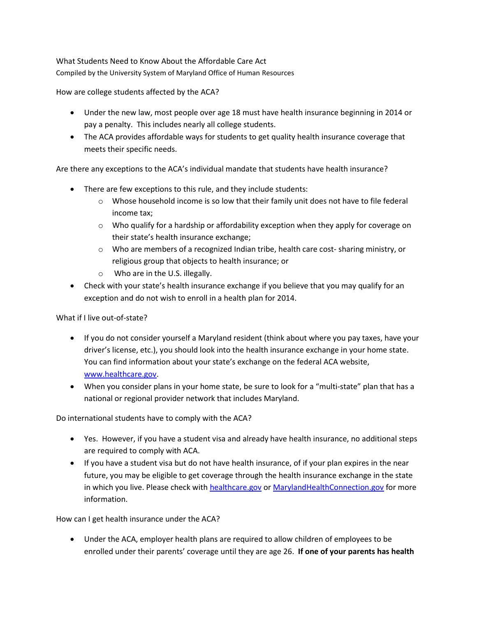What Students Need to Know About the Affordable Care Act Compiled by the University System of Maryland Office of Human Resources

How are college students affected by the ACA?

- Under the new law, most people over age 18 must have health insurance beginning in 2014 or pay a penalty. This includes nearly all college students.
- The ACA provides affordable ways for students to get quality health insurance coverage that meets their specific needs.

Are there any exceptions to the ACA's individual mandate that students have health insurance?

- There are few exceptions to this rule, and they include students:
	- o Whose household income is so low that their family unit does not have to file federal income tax;
	- $\circ$  Who qualify for a hardship or affordability exception when they apply for coverage on their state's health insurance exchange;
	- o Who are members of a recognized Indian tribe, health care cost- sharing ministry, or religious group that objects to health insurance; or
	- o Who are in the U.S. illegally.
- Check with your state's health insurance exchange if you believe that you may qualify for an exception and do not wish to enroll in a health plan for 2014.

What if I live out-of-state?

- If you do not consider yourself a Maryland resident (think about where you pay taxes, have your driver's license, etc.), you should look into the health insurance exchange in your home state. You can find information about your state's exchange on the federal ACA website, [www.healthcare.gov.](http://www.healthcare.gov/)
- When you consider plans in your home state, be sure to look for a "multi-state" plan that has a national or regional provider network that includes Maryland.

Do international students have to comply with the ACA?

- Yes. However, if you have a student visa and already have health insurance, no additional steps are required to comply with ACA.
- If you have a student visa but do not have health insurance, of if your plan expires in the near future, you may be eligible to get coverage through the health insurance exchange in the state in which you live. Please check with [healthcare.gov](https://www.healthcare.gov/) o[r MarylandHealthConnection.gov](http://www.marylandhealthconnection.gov/) for more information.

How can I get health insurance under the ACA?

 Under the ACA, employer health plans are required to allow children of employees to be enrolled under their parents' coverage until they are age 26. **If one of your parents has health**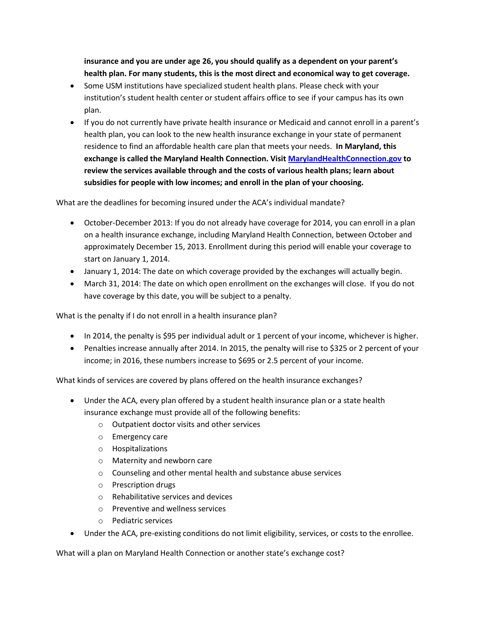**insurance and you are under age 26, you should qualify as a dependent on your parent's health plan. For many students, this is the most direct and economical way to get coverage.**

- Some USM institutions have specialized student health plans. Please check with your institution's student health center or student affairs office to see if your campus has its own plan.
- If you do not currently have private health insurance or Medicaid and cannot enroll in a parent's health plan, you can look to the new health insurance exchange in your state of permanent residence to find an affordable health care plan that meets your needs. **In Maryland, this exchange is called the Maryland Health Connection. Visit [MarylandHealthConnection.gov](http://www.marylandhealthconnection.gov/) to review the services available through and the costs of various health plans; learn about subsidies for people with low incomes; and enroll in the plan of your choosing.**

What are the deadlines for becoming insured under the ACA's individual mandate?

- October-December 2013: If you do not already have coverage for 2014, you can enroll in a plan on a health insurance exchange, including Maryland Health Connection, between October and approximately December 15, 2013. Enrollment during this period will enable your coverage to start on January 1, 2014.
- January 1, 2014: The date on which coverage provided by the exchanges will actually begin.
- March 31, 2014: The date on which open enrollment on the exchanges will close. If you do not have coverage by this date, you will be subject to a penalty.

What is the penalty if I do not enroll in a health insurance plan?

- In 2014, the penalty is \$95 per individual adult or 1 percent of your income, whichever is higher.
- Penalties increase annually after 2014. In 2015, the penalty will rise to \$325 or 2 percent of your income; in 2016, these numbers increase to \$695 or 2.5 percent of your income.

What kinds of services are covered by plans offered on the health insurance exchanges?

- Under the ACA, every plan offered by a student health insurance plan or a state health insurance exchange must provide all of the following benefits:
	- o Outpatient doctor visits and other services
	- o Emergency care
	- o Hospitalizations
	- o Maternity and newborn care
	- o Counseling and other mental health and substance abuse services
	- o Prescription drugs
	- o Rehabilitative services and devices
	- o Preventive and wellness services
	- o Pediatric services
- Under the ACA, pre-existing conditions do not limit eligibility, services, or costs to the enrollee.

What will a plan on Maryland Health Connection or another state's exchange cost?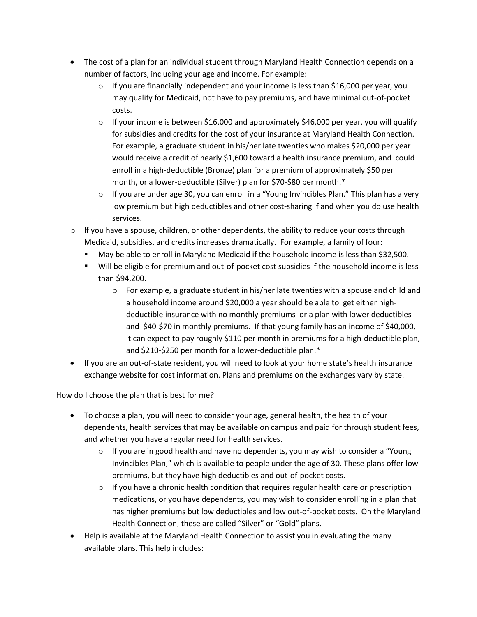- The cost of a plan for an individual student through Maryland Health Connection depends on a number of factors, including your age and income. For example:
	- $\circ$  If you are financially independent and your income is less than \$16,000 per year, you may qualify for Medicaid, not have to pay premiums, and have minimal out-of-pocket costs.
	- $\circ$  If your income is between \$16,000 and approximately \$46,000 per year, you will qualify for subsidies and credits for the cost of your insurance at Maryland Health Connection. For example, a graduate student in his/her late twenties who makes \$20,000 per year would receive a credit of nearly \$1,600 toward a health insurance premium, and could enroll in a high-deductible (Bronze) plan for a premium of approximately \$50 per month, or a lower-deductible (Silver) plan for \$70-\$80 per month.\*
	- $\circ$  If you are under age 30, you can enroll in a "Young Invincibles Plan." This plan has a very low premium but high deductibles and other cost-sharing if and when you do use health services.
- $\circ$  If you have a spouse, children, or other dependents, the ability to reduce your costs through Medicaid, subsidies, and credits increases dramatically. For example, a family of four:
	- May be able to enroll in Maryland Medicaid if the household income is less than \$32,500.
	- Will be eligible for premium and out-of-pocket cost subsidies if the household income is less than \$94,200.
		- $\circ$  For example, a graduate student in his/her late twenties with a spouse and child and a household income around \$20,000 a year should be able to get either highdeductible insurance with no monthly premiums or a plan with lower deductibles and \$40-\$70 in monthly premiums. If that young family has an income of \$40,000, it can expect to pay roughly \$110 per month in premiums for a high-deductible plan, and \$210-\$250 per month for a lower-deductible plan.\*
- If you are an out-of-state resident, you will need to look at your home state's health insurance exchange website for cost information. Plans and premiums on the exchanges vary by state.

How do I choose the plan that is best for me?

- To choose a plan, you will need to consider your age, general health, the health of your dependents, health services that may be available on campus and paid for through student fees, and whether you have a regular need for health services.
	- $\circ$  If you are in good health and have no dependents, you may wish to consider a "Young" Invincibles Plan," which is available to people under the age of 30. These plans offer low premiums, but they have high deductibles and out-of-pocket costs.
	- $\circ$  If you have a chronic health condition that requires regular health care or prescription medications, or you have dependents, you may wish to consider enrolling in a plan that has higher premiums but low deductibles and low out-of-pocket costs. On the Maryland Health Connection, these are called "Silver" or "Gold" plans.
- Help is available at the Maryland Health Connection to assist you in evaluating the many available plans. This help includes: